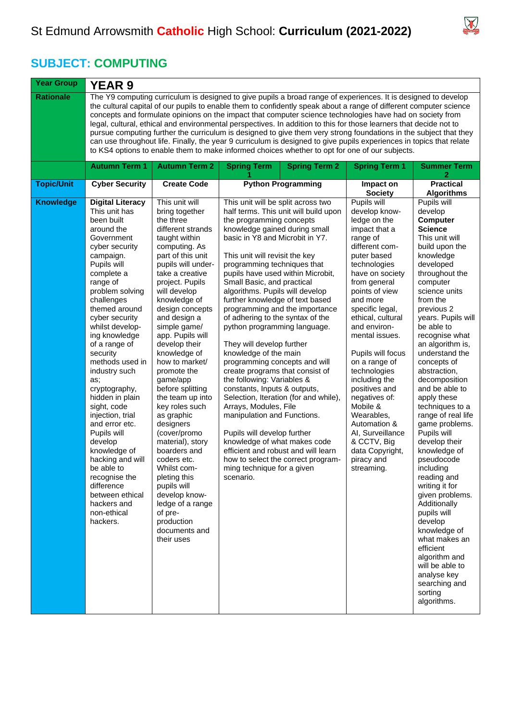

 $\overline{\phantom{0}}$ 

## **SUBJECT: COMPUTING**

| <b>Year Group</b> | <b>YEAR 9</b>                                                                                                                                                                                                                                                                                                                                                                                                                                                                                                                                                                                                                                                                                                                                                                                                          |                                                                                                                                                                                                                                                                                                                                                                                                                                                                                                                                                                                                                                                                               |                                                                                                                                                                                                                                                                                                                                                                                                                                                                                                                                                                                                                                                                                                                                                                                                                                                                                                                                                                             |                      |                                                                                                                                                                                                                                                                                                                                                                                                                                                                                                            |                                                                                                                                                                                                                                                                                                                                                                                                                                                                                                                                                                                                                                                                                                                                                                 |  |  |  |
|-------------------|------------------------------------------------------------------------------------------------------------------------------------------------------------------------------------------------------------------------------------------------------------------------------------------------------------------------------------------------------------------------------------------------------------------------------------------------------------------------------------------------------------------------------------------------------------------------------------------------------------------------------------------------------------------------------------------------------------------------------------------------------------------------------------------------------------------------|-------------------------------------------------------------------------------------------------------------------------------------------------------------------------------------------------------------------------------------------------------------------------------------------------------------------------------------------------------------------------------------------------------------------------------------------------------------------------------------------------------------------------------------------------------------------------------------------------------------------------------------------------------------------------------|-----------------------------------------------------------------------------------------------------------------------------------------------------------------------------------------------------------------------------------------------------------------------------------------------------------------------------------------------------------------------------------------------------------------------------------------------------------------------------------------------------------------------------------------------------------------------------------------------------------------------------------------------------------------------------------------------------------------------------------------------------------------------------------------------------------------------------------------------------------------------------------------------------------------------------------------------------------------------------|----------------------|------------------------------------------------------------------------------------------------------------------------------------------------------------------------------------------------------------------------------------------------------------------------------------------------------------------------------------------------------------------------------------------------------------------------------------------------------------------------------------------------------------|-----------------------------------------------------------------------------------------------------------------------------------------------------------------------------------------------------------------------------------------------------------------------------------------------------------------------------------------------------------------------------------------------------------------------------------------------------------------------------------------------------------------------------------------------------------------------------------------------------------------------------------------------------------------------------------------------------------------------------------------------------------------|--|--|--|
| <b>Rationale</b>  | The Y9 computing curriculum is designed to give pupils a broad range of experiences. It is designed to develop<br>the cultural capital of our pupils to enable them to confidently speak about a range of different computer science<br>concepts and formulate opinions on the impact that computer science technologies have had on society from<br>legal, cultural, ethical and environmental perspectives. In addition to this for those learners that decide not to<br>pursue computing further the curriculum is designed to give them very strong foundations in the subject that they<br>can use throughout life. Finally, the year 9 curriculum is designed to give pupils experiences in topics that relate<br>to KS4 options to enable them to make informed choices whether to opt for one of our subjects. |                                                                                                                                                                                                                                                                                                                                                                                                                                                                                                                                                                                                                                                                               |                                                                                                                                                                                                                                                                                                                                                                                                                                                                                                                                                                                                                                                                                                                                                                                                                                                                                                                                                                             |                      |                                                                                                                                                                                                                                                                                                                                                                                                                                                                                                            |                                                                                                                                                                                                                                                                                                                                                                                                                                                                                                                                                                                                                                                                                                                                                                 |  |  |  |
|                   | <b>Autumn Term 1</b>                                                                                                                                                                                                                                                                                                                                                                                                                                                                                                                                                                                                                                                                                                                                                                                                   | <b>Autumn Term 2</b>                                                                                                                                                                                                                                                                                                                                                                                                                                                                                                                                                                                                                                                          | <b>Spring Term</b>                                                                                                                                                                                                                                                                                                                                                                                                                                                                                                                                                                                                                                                                                                                                                                                                                                                                                                                                                          | <b>Spring Term 2</b> | <b>Spring Term 1</b>                                                                                                                                                                                                                                                                                                                                                                                                                                                                                       | <b>Summer Term</b><br>2                                                                                                                                                                                                                                                                                                                                                                                                                                                                                                                                                                                                                                                                                                                                         |  |  |  |
| <b>Topic/Unit</b> | <b>Cyber Security</b>                                                                                                                                                                                                                                                                                                                                                                                                                                                                                                                                                                                                                                                                                                                                                                                                  | <b>Create Code</b>                                                                                                                                                                                                                                                                                                                                                                                                                                                                                                                                                                                                                                                            | <b>Python Programming</b>                                                                                                                                                                                                                                                                                                                                                                                                                                                                                                                                                                                                                                                                                                                                                                                                                                                                                                                                                   |                      | Impact on<br><b>Society</b>                                                                                                                                                                                                                                                                                                                                                                                                                                                                                | <b>Practical</b><br><b>Algorithms</b>                                                                                                                                                                                                                                                                                                                                                                                                                                                                                                                                                                                                                                                                                                                           |  |  |  |
| <b>Knowledge</b>  | <b>Digital Literacy</b><br>This unit has<br>been built<br>around the<br>Government<br>cyber security<br>campaign.<br>Pupils will<br>complete a<br>range of<br>problem solving<br>challenges<br>themed around<br>cyber security<br>whilst develop-<br>ing knowledge<br>of a range of<br>security<br>methods used in<br>industry such<br>as;<br>cryptography,<br>hidden in plain<br>sight, code<br>injection, trial<br>and error etc.<br>Pupils will<br>develop<br>knowledge of<br>hacking and will<br>be able to<br>recognise the<br>difference<br>between ethical<br>hackers and<br>non-ethical<br>hackers.                                                                                                                                                                                                            | This unit will<br>bring together<br>the three<br>different strands<br>taught within<br>computing. As<br>part of this unit<br>pupils will under-<br>take a creative<br>project. Pupils<br>will develop<br>knowledge of<br>design concepts<br>and design a<br>simple game/<br>app. Pupils will<br>develop their<br>knowledge of<br>how to market/<br>promote the<br>game/app<br>before splitting<br>the team up into<br>key roles such<br>as graphic<br>designers<br>(cover/promo<br>material), story<br>boarders and<br>coders etc.<br>Whilst com-<br>pleting this<br>pupils will<br>develop know-<br>ledge of a range<br>of pre-<br>production<br>documents and<br>their uses | This unit will be split across two<br>half terms. This unit will build upon<br>the programming concepts<br>knowledge gained during small<br>basic in Y8 and Microbit in Y7.<br>This unit will revisit the key<br>programming techniques that<br>pupils have used within Microbit,<br>Small Basic, and practical<br>algorithms. Pupils will develop<br>further knowledge of text based<br>programming and the importance<br>of adhering to the syntax of the<br>python programming language.<br>They will develop further<br>knowledge of the main<br>programming concepts and will<br>create programs that consist of<br>the following: Variables &<br>constants, Inputs & outputs,<br>Selection, Iteration (for and while),<br>Arrays, Modules, File<br>manipulation and Functions.<br>Pupils will develop further<br>knowledge of what makes code<br>efficient and robust and will learn<br>how to select the correct program-<br>ming technique for a given<br>scenario. |                      | Pupils will<br>develop know-<br>ledge on the<br>impact that a<br>range of<br>different com-<br>puter based<br>technologies<br>have on society<br>from general<br>points of view<br>and more<br>specific legal,<br>ethical, cultural<br>and environ-<br>mental issues.<br>Pupils will focus<br>on a range of<br>technologies<br>including the<br>positives and<br>negatives of:<br>Mobile &<br>Wearables,<br>Automation &<br>AI, Surveillance<br>& CCTV, Big<br>data Copyright,<br>piracy and<br>streaming. | Pupils will<br>develop<br><b>Computer</b><br><b>Science</b><br>This unit will<br>build upon the<br>knowledge<br>developed<br>throughout the<br>computer<br>science units<br>from the<br>previous 2<br>years. Pupils will<br>be able to<br>recognise what<br>an algorithm is,<br>understand the<br>concepts of<br>abstraction,<br>decomposition<br>and be able to<br>apply these<br>techniques to a<br>range of real life<br>game problems.<br>Pupils will<br>develop their<br>knowledge of<br>pseudocode<br>including<br>reading and<br>writing it for<br>given problems.<br>Additionally<br>pupils will<br>develop<br>knowledge of<br>what makes an<br>efficient<br>algorithm and<br>will be able to<br>analyse key<br>searching and<br>sorting<br>algorithms. |  |  |  |